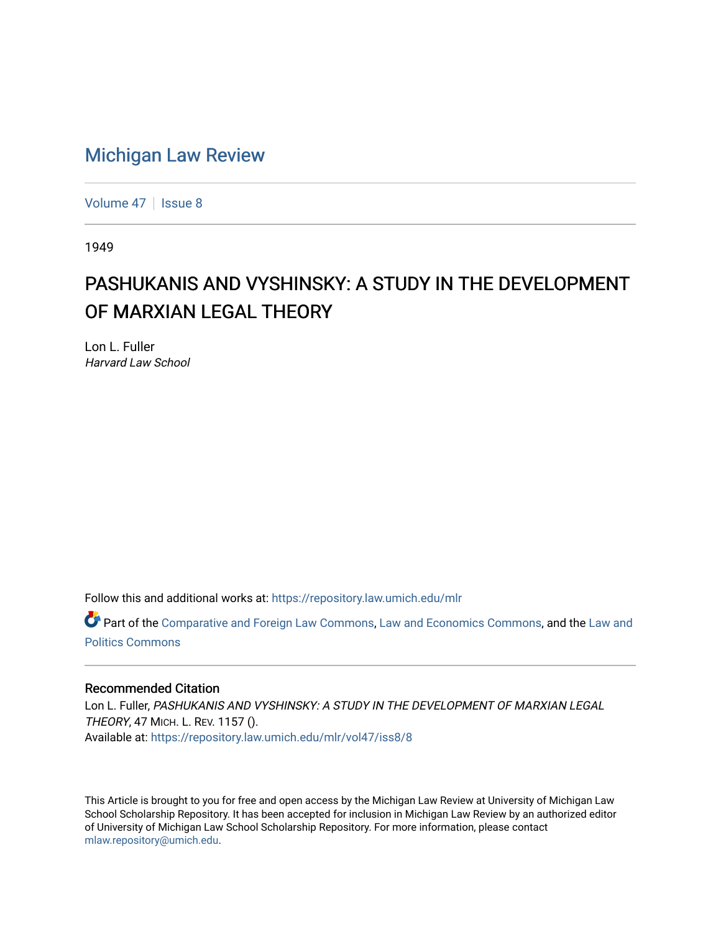# [Michigan Law Review](https://repository.law.umich.edu/mlr)

[Volume 47](https://repository.law.umich.edu/mlr/vol47) | [Issue 8](https://repository.law.umich.edu/mlr/vol47/iss8)

1949

# PASHUKANIS AND VYSHINSKY: A STUDY IN THE DEVELOPMENT OF MARXIAN LEGAL THEORY

Lon L. Fuller Harvard Law School

Follow this and additional works at: [https://repository.law.umich.edu/mlr](https://repository.law.umich.edu/mlr?utm_source=repository.law.umich.edu%2Fmlr%2Fvol47%2Fiss8%2F8&utm_medium=PDF&utm_campaign=PDFCoverPages) 

Part of the [Comparative and Foreign Law Commons,](http://network.bepress.com/hgg/discipline/836?utm_source=repository.law.umich.edu%2Fmlr%2Fvol47%2Fiss8%2F8&utm_medium=PDF&utm_campaign=PDFCoverPages) [Law and Economics Commons](http://network.bepress.com/hgg/discipline/612?utm_source=repository.law.umich.edu%2Fmlr%2Fvol47%2Fiss8%2F8&utm_medium=PDF&utm_campaign=PDFCoverPages), and the [Law and](http://network.bepress.com/hgg/discipline/867?utm_source=repository.law.umich.edu%2Fmlr%2Fvol47%2Fiss8%2F8&utm_medium=PDF&utm_campaign=PDFCoverPages)  [Politics Commons](http://network.bepress.com/hgg/discipline/867?utm_source=repository.law.umich.edu%2Fmlr%2Fvol47%2Fiss8%2F8&utm_medium=PDF&utm_campaign=PDFCoverPages)

#### Recommended Citation

Lon L. Fuller, PASHUKANIS AND VYSHINSKY: A STUDY IN THE DEVELOPMENT OF MARXIAN LEGAL THEORY, 47 MICH. L. REV. 1157 (). Available at: [https://repository.law.umich.edu/mlr/vol47/iss8/8](https://repository.law.umich.edu/mlr/vol47/iss8/8?utm_source=repository.law.umich.edu%2Fmlr%2Fvol47%2Fiss8%2F8&utm_medium=PDF&utm_campaign=PDFCoverPages)

This Article is brought to you for free and open access by the Michigan Law Review at University of Michigan Law School Scholarship Repository. It has been accepted for inclusion in Michigan Law Review by an authorized editor of University of Michigan Law School Scholarship Repository. For more information, please contact [mlaw.repository@umich.edu.](mailto:mlaw.repository@umich.edu)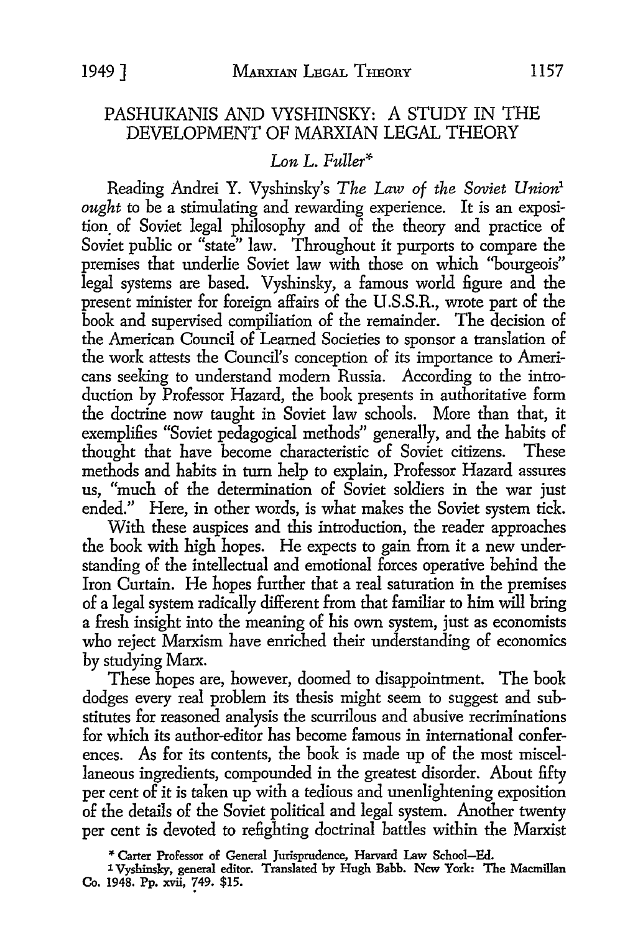## PASHUKANIS AND VYSHINSKY: A STUDY IN THE DEVELOPMENT OF MARXIAN LEGAL THEORY

## *Lon L. Fuller\**

Reading Andrei Y. Vyshinsky's *The Law of the Soviet Union1 ought* to be a stimulating and rewarding experience. It is an exposition. of Soviet legal philosophy and of the theory and practice of Soviet public or "state" law. Throughout it purports to compare the premises that underlie Soviet law with those on which ''bourgeois" legal systems are based. Vyshinsky, a famous world figure and the present minister for foreign affairs of the U .S.S.R., wrote part of the book and supervised compiliation of the remainder. The decision of the American Council of Learned Societies to sponsor a translation of the work attests the Council's conception of its importance to Americans seeking to understand modem Russia. According to the introduction by Professor Hazard, the book presents in authoritative form the doctrine now taught in Soviet law schools. More than that, it exemplifies "Soviet pedagogical methods" generally, and the habits of thought that have become characteristic of Soviet citizens. These methods and habits in tum help to explain, Professor Hazard assures us, "much of the determination of Soviet soldiers in the war just ended." Here, in other words, is what makes the Soviet system tick.

With these auspices and this introduction, the reader approaches the book with high hopes. He expects to gain from it a new understanding of the intellectual and emotional forces operative behind the Iron Curtain. He hopes further that a real saturation in the premises of a legal system radically different from that familiar to him will bring a fresh insight into the meaning of his own system, just as economists who reject Marxism have enriched their understanding of economics by studying Marx.

These hopes are, however, doomed to disappointment. The book dodges every real problem its thesis might seem to suggest and substitutes for reasoned analysis the scurrilous and abusive recriminations for which its author-editor has become famous in international conferences. As for its contents, the book is made up of the most miscellaneous ingredients, compounded in the greatest disorder. About fifty per cent of it is taken up with a tedious and unenlightening exposition of the details of the Soviet political and legal system. Another twenty per cent is devoted to refighting doctrinal battles within the Marxist

\* Carter Professor of General Jurisprudence, Harvard Law School-Ed.

<sup>1</sup> Vyshinsky, general editor. Translated by Hugh Babb. New York: The Macmillan Co. 1948. Pp. xvii, ?49. \$15.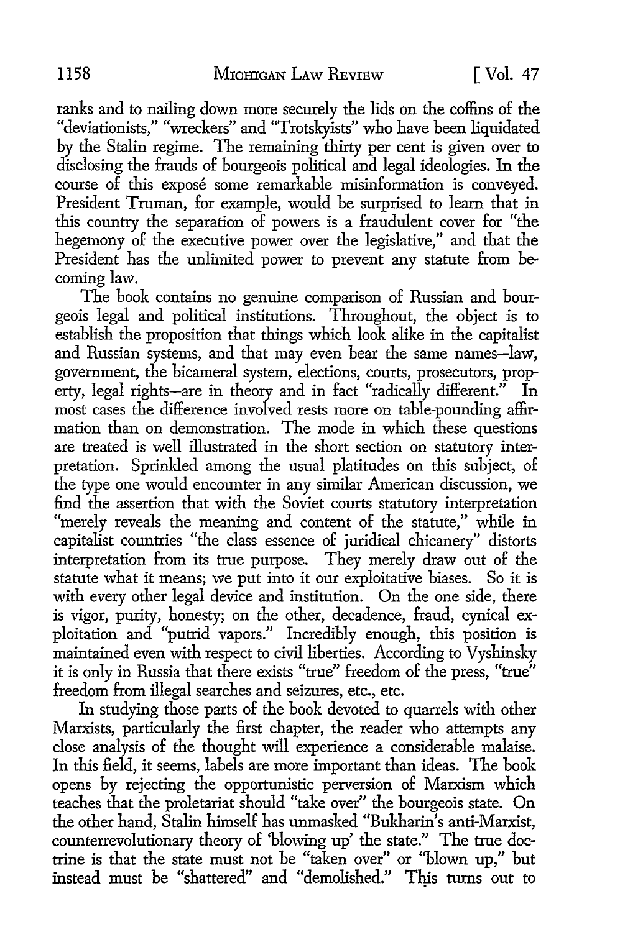ranks and to nailing down more securely the lids on the coffins of the "deviationists," "wreckers" and "Trotskyists" who have been liquidated by the Stalin regime. The remaining thirty per cent is given over to disclosing the frauds of bourgeois political and legal ideologies. In the course of this expose some remarkable misinformation is conveyed. President Truman, for example, would be surprised to learn that in this country the separation of powers is a fraudulent cover for "the hegemony of the executive power over the legislative," and that the President has the unlimited power to prevent any statute from becoming law.

The book contains no genuine comparison of Russian and bourgeois legal and political institutions. Throughout, the object is to establish the proposition that things which look alike in the capitalist and Russian systems, and that may even bear the same names-law, government, the bicameral system, elections, courts, prosecutors, property, legal rights-are in theory and in fact "radically different." In most cases the difference involved rests more on table-pounding affirmation than on demonstration. The mode in which these questions are treated is well illustrated in the short section on statutory interpretation. Sprinkled among the usual platitudes on this subject, of the type one would encounter in any similar American discussion, we find the assertion that with the Soviet courts statutory interpretation "merely reveals the meaning and content of the statute," while in capitalist countries "the class essence of juridical chicanery" distorts interpretation from its true purpose. They merely draw out of the statute what it means; we put into it our exploitative biases. So it is with every other legal device and institution. On the one side, there is vigor, purity, honesty; on the other, decadence, fraud, cynical exploitation and "putrid vapors." Incredibly enough, this position is maintained even with respect to civil liberties. According to Vyshinsky it is only in Russia that there exists "true" freedom of the press, "true" freedom from illegal searches and seizures, etc., etc.

In studying those parts of the book devoted to quarrels with other Marxists, particularly the first chapter, the reader who attempts any close analysis of the thought will experience a considerable malaise. In this field, it seems, labels are more important than ideas. The book opens by rejecting the opportunistic perversion of Marxism which teaches that the proletariat should "take over" the bourgeois state. On the other hand, Stalin himself has unmasked "Bukharin's anti-Marxist, counterrevolutionary theory of 'blowing up' the state." The true doctrine is that the state must not be "taken over" or ''blown up," but instead must be "shattered" and "demolished." This turns out to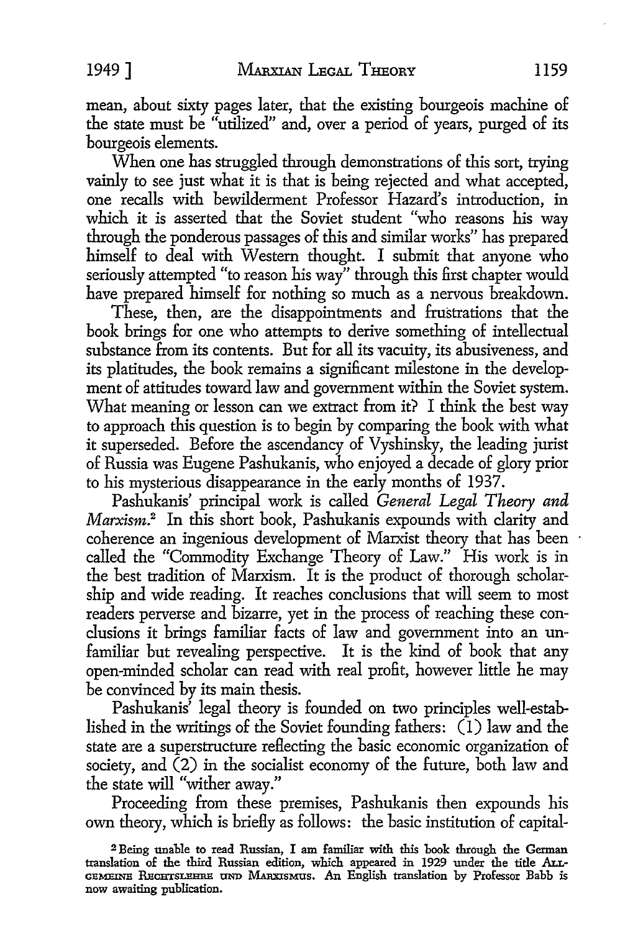mean, about sixty pages later, that the existing bourgeois machine of

the state must be "utilized" and, over a period of years, purged of its bourgeois elements.

When one has struggled through demonstrations of this sort, trying vainly to see just what it is that is being rejected and what accepted, one recalls with bewilderment Professor Hazard's introduction, in which it is asserted that the Soviet student "who reasons his way through the ponderous passages of this and similar works" has prepared himself to deal with Western thought. I submit that anyone who seriously attempted "to reason his way" through this first chapter would have prepared himself for nothing so much as a nervous breakdown.

These, then, are the disappointments and frustrations that the book brings for one who attempts to derive something of intellectual substance from its contents. But for all its vacuity, its abusiveness, and its platitudes, the book remains a significant milestone in the development of attitudes toward law and government within the Soviet system. What meaning or lesson can we extract from it? I think the best way to approach this question is to begin by comparing the book with what it superseded. Before the ascendancy of Vyshinsky, the leading jurist of Russia was Eugene Pashukanis, who enjoyed a decade of glory prior to his mysterious disappearance in the early months of 1937.

Pashukanis' principal work is called *General Legal Theory and*  Marxism.<sup>2</sup> In this short book, Pashukanis expounds with clarity and coherence an ingenious development of Marxist theory that has been called the "Commodity Exchange Theory of Law." His work is in the best tradition of Marxism. It is the product of thorough scholarship and wide reading. It reaches conclusions that will seem to most readers perverse and bizarre, yet in the process of reaching these conclusions it brings familiar facts of law and government into an unfamiliar but revealing perspective. It is the kind of book that any open-minded scholar can read with real profit, however little he may be convinced by its main thesis.

Pashukanis' legal theory is founded on two principles well-established in the writings of the Soviet founding fathers: (I) law and the state are a superstructure reflecting the basic economic organization of society, and (2) in the socialist economy of the future, both law and the state will "wither away."

Proceeding from these premises, Pashukanis then expounds his own theory, which is briefly as follows: the basic institution of capital-

<sup>2</sup>Being unable to read Russian, I am familiar with this book through the German translation of the third Russian edition, which appeared in 1929 under the title Arr-GEMEINE RECHTSLEHRE UND MARXISMUS. An English translation by Professor Babb is now awaiting publication.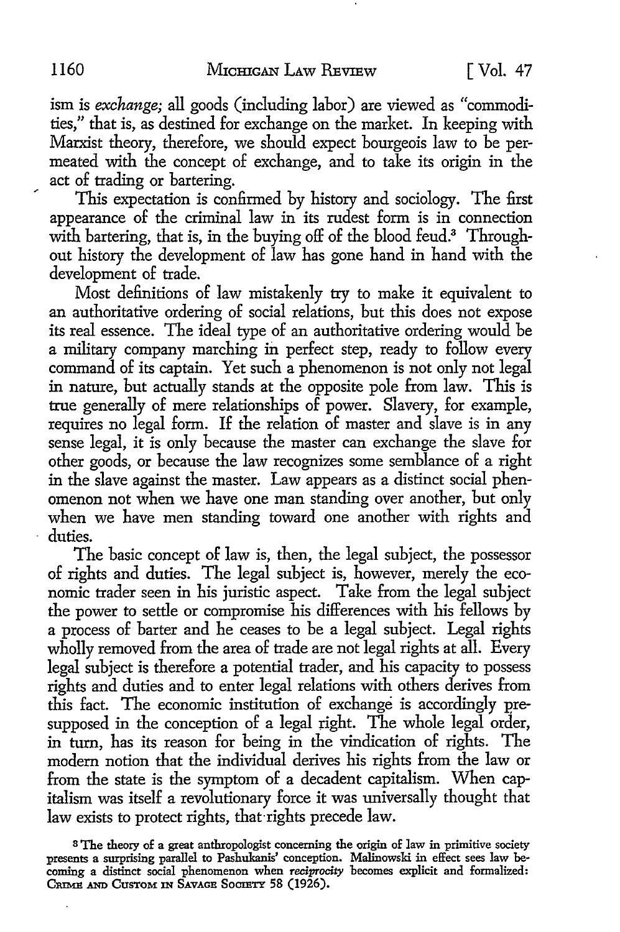ism is *exchange;* all goods (including labor) are viewed as "commodities," that is, as destined for exchange on the market. In keeping with Marxist theory, therefore, we should expect bourgeois law to be permeated with the concept of exchange, and to take its origin in the act of trading or bartering.

This expectation is confirmed by history and sociology. The first appearance of the criminal law in its rudest form is in connection with bartering, that is, in the buying off of the blood feud.<sup>3</sup> Throughout history the development of law has gone hand in hand with the development of trade.

Most definitions of law mistakenly try to make it equivalent to an authoritative ordering of social relations, but this does not expose its real essence. The ideal type of an authoritative ordering would be a military company marching in perfect step, ready to follow every command of its captain. Yet such a phenomenon is not only not legal in nature, but actually stands at the opposite pole from law. This is true generally of mere relationships of power. Slavery, for example, requires no legal form. If the relation of master and slave is in any sense legal, it is only because the master can exchange the slave for other goods, or because the law recognizes some semblance of a right in the slave against the master. Law appears as a distinct social phenomenon not when we have one man standing over another, but only when we have men standing toward one another with rights and duties.

The basic concept of law is, then, the legal subject, the possessor of rights and duties. The legal subject is, however, merely the economic trader seen in his juristic aspect. Take from the legal subject the power *to* settle or compromise his differences with his fellows by a process of barter and he ceases to be a legal subject. Legal rights wholly removed from the area of trade are not legal rights at all. Every legal subject is therefore a potential trader, and his capacity *to* possess rights and duties and to enter legal relations with others derives from this fact. The economic institution of exchange is accordingly presupposed in the conception of a legal right. The whole legal order, in turn, has its reason for being in the vindication of rights. The modem notion that the individual derives his rights from the law or from the state is the symptom of a decadent capitalism. When capitalism was itself a revolutionary force it was universally thought that law exists *to* protect rights, that·rights precede law.

s The theory of a great anthropologist concerning the origin of law in primitive society presents a surprising parallel to Pashukanis' conception. Malinowski in effect sees law becoming a distinct social phenomenon when *reciprocity* becomes explicit and formalized: CRIME AND CUSTOM IN SAVAGE SOCIETY 58 (1926).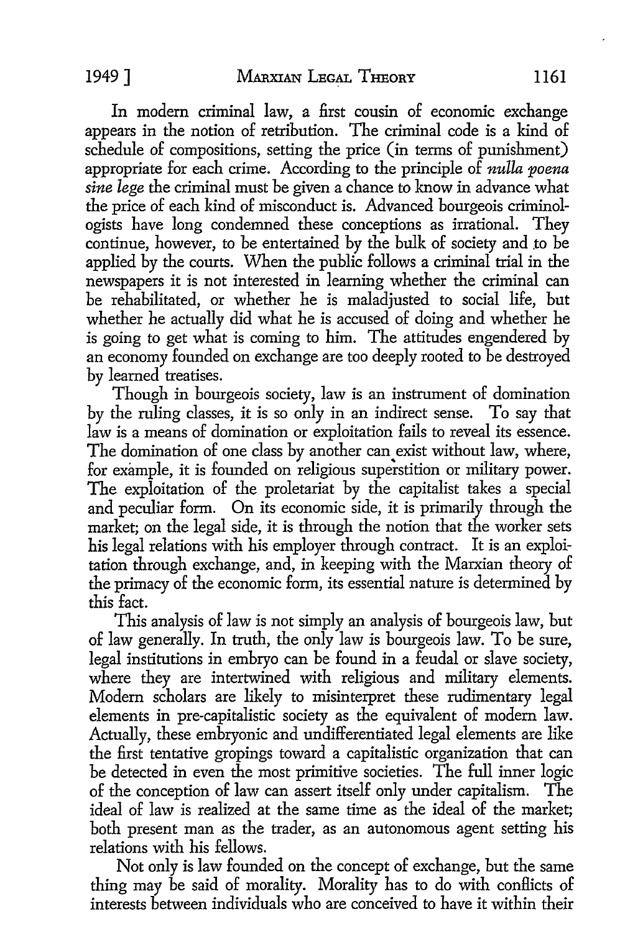In modern criminal law, a first cousin of economic exchange appears in the notion of retribution. The criminal code is a kind of schedule of compositions, setting the price (in terms of punishment) appropriate for each crime. According to the principle of *nulla poena sine lege* the criminal must be given a chance to know in advance what the price of each kind of misconduct is. Advanced bourgeois criminologists have long condemned these conceptions as irrational. They continue, however, to be entertained by the bulk of society and to be applied by the courts. When the public follows a criminal trial in the newspapers it is not interested in learning whether the criminal can be rehabilitated, or whether he is maladjusted to social life, but whether he actually did what he is accused of doing and whether he is going to get what is coming to him. The attitudes engendered by an economy founded on exchange are too deeply rooted to be destroyed by learned treatises.

Though in bourgeois society, law is an instrument of domination by the ruling classes, it is so only in an indirect sense. To say that law is a means of domination or exploitation fails to reveal its essence. The domination of one class by another can exist without law, where, for example, it is founded on religious superstition or military power. The exploitation of the proletariat by the capitalist takes a special and peculiar form. On its economic side, it is primarily through the market; on the legal side, it is through the notion that the worker sets his legal relations with his employer through contract. It is an exploitation through exchange, and, in keeping with the Marxian theory of the primacy of the economic form, its essential nature is determined by this fact.

This analysis of law is not simply an analysis of bourgeois law, but of law generally. In truth, the only law is bourgeois law. To be sure, legal institutions in embryo can be found in a feudal or slave society, where they are intertwined with religious and military elements. Modem scholars are likely to misinterpret these rudimentary legal elements in pre-capitalistic society as the equivalent of modem law. Actually, these embryonic and undifferentiated legal elements are like the first tentative gropings toward a capitalistic organization that can be detected in even the most primitive societies. The full inner logic of the conception of law can assert itself only under capitalism. The ideal of law is realized at the same time as the ideal of the market; both present man as the trader, as an autonomous agent setting his relations with his fellows.

Not only is law founded on the concept of exchange, but the same thing may be said of morality. Morality has to do with conflicts of interests between individuals who are conceived to have it within their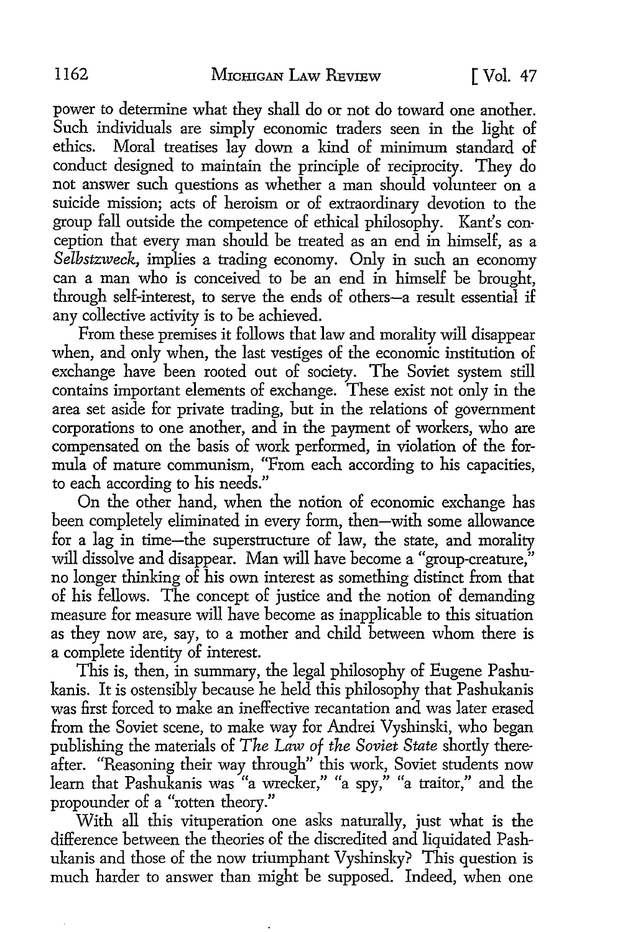power to determine what they shall do or not do toward one another. Such individuals are simply economic traders seen in the light of ethics. Moral treatises lay down a kind of minimum standard of conduct designed to maintain the principle of reciprocity. They do not answer such questions as whether a man should volunteer on a suicide mission; acts of heroism or of extraordinary devotion to the group fall outside the competence of ethical philosophy. Kant's conception that every man should be treated as an end in himself, as a *Selbstzweck,* implies a trading economy. Only in such an economy can a man who is conceived to be an end in himself be brought, through self-interest, to serve the ends of others-a result essential if any collective activity is to be achieved.

From these premises it follows that law and morality will disappear when, and only when, the last vestiges of the economic institution of exchange have been rooted out of society. The Soviet system still contains important elements of exchange. These exist not only in the area set aside for private trading, but in the relations of government corporations to one another, and in the payment of workers, who are compensated on the basis of work performed, in violation of the formula of mature communism, "From each according to his capacities, to each according to his needs."

On the other hand, when the notion of economic exchange has been completely eliminated in every form, then-with some allowance for a lag in time-the superstructure of law, the state, and morality will dissolve and disappear. Man will have become a "group-creature," no longer thinking of his own interest as something distinct from that of his fellows. The concept of justice and the notion of demanding measure for measure will have become as inapplicable to this situation as they now are, say, to a mother and child between whom there is a complete identity of interest.

This is, then, in summary, the legal philosophy of Eugene Pashukanis. It is ostensibly because he held this philosophy that Pashukanis was first forced to make an ineffective recantation and was later erased from the Soviet scene, to make way for Andrei Vyshinski, who began publishing the materials of *The Law of the Soviet State* shortly thereafter. "Reasoning their way through" this work, Soviet students now <sup>1</sup>earn th at Phk as u ams · was " a wrec k er, "" a spy, "" a traitor, ·" an dh *t* <sup>e</sup> learn that Pashukanis was ''a wre<br>propounder of a ''rotten theory.''

With all this vituperation one asks naturally, just what is the difference between the theories of the discredited and liquidated Pashukanis and those of the now triumphant Vyshinsky? This question is much harder to answer than might be supposed. Indeed, when one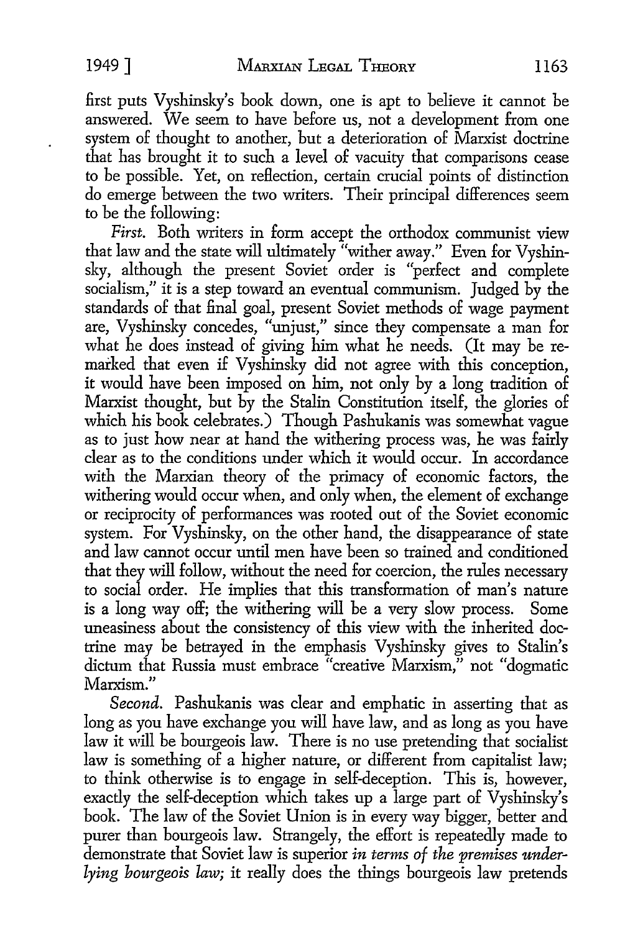first puts Vyshinsky's book down, one is apt to believe it cannot be answered. We seem to have before us, not a development from one system of thought to another, but a deterioration of Marxist doctrine that has brought it to such a level of vacuity that comparisons cease to be possible. Yet, on reHection, certain crucial points of distinction do emerge between the two writers. Their principal differences seem to be the following:

*First.* Both writers in form accept the orthodox communist view that law and the state will ultimately "wither away." Even for Vyshinsky, although the present Soviet order is "perfect and complete socialism," it is a step toward an eventual communism. Judged by the standards of that final goal, present Soviet methods of wage payment are, Vyshinsky concedes, "unjust," since they compensate a man for what he does instead of giving him what he needs. (It may be remarked that even if Vyshinsky did not agree with this conception, it would have been imposed on him, not only by a long tradition of Marxist thought, but by the Stalin Constitution itself, the glories of which his book celebrates.) Though Pashukanis was somewhat vague as to just how near at hand the withering process was, he was fairly clear as to the conditions under which it would occur. In accordance with the Marxian theory of the primacy of economic factors, the withering would occur when, and only when, the element of exchange or reciprocity of performances was rooted out of the Soviet economic system. For Vyshinsky, on the other hand, the disappearance of state and law cannot occur until men have been so trained and conditioned that they will follow, without the need for coercion, the rules necessary to social order. He implies that this transformation of man's nature is a long way off; the withering will be a very slow process. Some uneasiness about the consistency of this view with the inherited doctrine may be betrayed in the emphasis Vyshinsky gives to Stalin's dictum that Russia must embrace "creative Marxism," not "dogmatic Marxism."

*Second.* Pashukanis was clear and emphatic in asserting that as long as you have exchange you will have law, and as long as you have law it will be bourgeois law. There is no use pretending that socialist law is something of a higher nature, or different from capitalist law; to think otherwise is to engage in self-deception. This is, however, exactly the self-deception which takes up a large part of Vyshinsky's book. The law of the Soviet Union is in every way bigger, better and purer than bourgeois law. Strangely, the effort is repeatedly made to demonstrate that Soviet law is superior *in terms of the premises underlying bourgeois law;* it really does the things bourgeois law pretends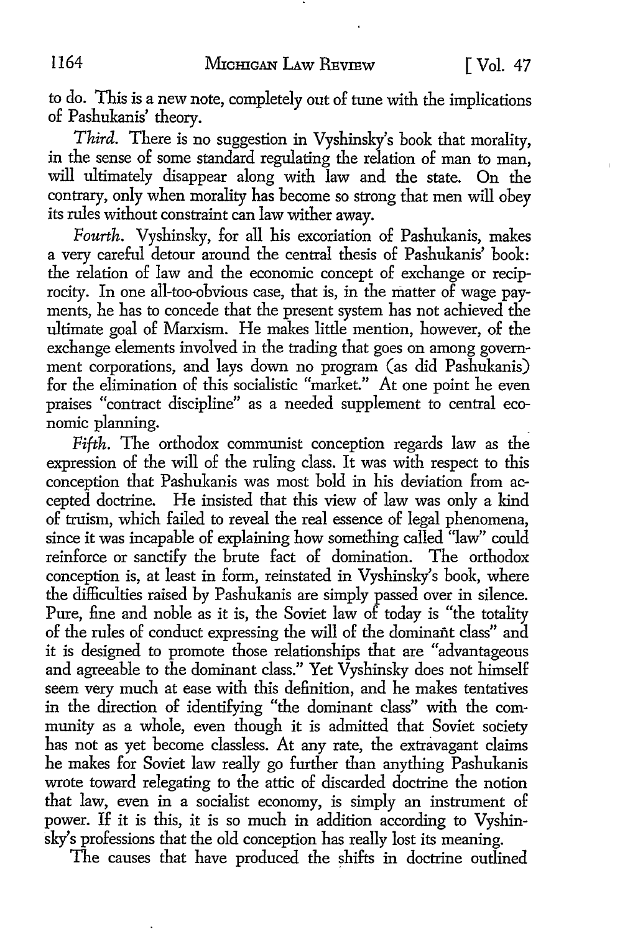to do. This is a new note, completely out of tune with the implications of Pashukanis' theory.

*Third.* There is no suggestion in Vyshinsky's book that morality, in the sense of some standard regulating the relation of man to man, will ultimately disappear along with law and the state. On the contrary, only when morality has become so strong that men will obey its rules without constraint can law wither away.

*Fourth.* Vyshinsky, for all his excoriation of Pashukanis, makes a very careful detour around the central thesis of Pashukanis' book: the relation of law and the economic concept of exchange or reciprocity. In one all-too-obvious case, that is, in the matter of wage payments, he has to concede that the present system has not achieved the ultimate goal of Marxism. He makes little mention, however, of the exchange elements involved in the trading that goes on among government corporations, and lays down no program (as did Pashukanis) for the elimination of this socialistic "market." At one point he even praises "contract discipline" as a needed supplement to central economic planning.

*Fifth.* The orthodox communist conception regards law as the expression of the will of the ruling class. It was with respect to this conception that Pashukanis was most bold in his deviation from accepted doctrine. He insisted that this view of law was only a kind of truism, which failed to reveal the real essence of legal phenomena, since it was incapable of explaining how something called "law" could reinforce or sanctify the brute fact of domination. The orthodox conception is, at least in form, reinstated in Vyshinsky's book, where the difficulties raised by Pashukanis are simply passed over in silence. Pure, fine and noble as it is, the Soviet law of today is "the totality of the rules of conduct expressing the will of the dominant class" and it is designed to promote those relationships that are "advantageous and agreeable to the dominant class." Yet Vyshinsky does not himself seem very much at ease with this definition, and he makes tentatives in the direction of identifying "the dominant class" with the community as a whole, even though it is admitted that Soviet society has not as yet become classless. At any rate, the extravagant claims he makes for Soviet law really go further than anything Pashukanis wrote toward relegating to the attic of discarded doctrine the notion that law, even in a socialist economy, is simply an instrument of power. If it is this, it is so much in addition according to Vyshinsky's professions that the old conception has really lost its meaning.

The causes that have produced the shifts in doctrine outlined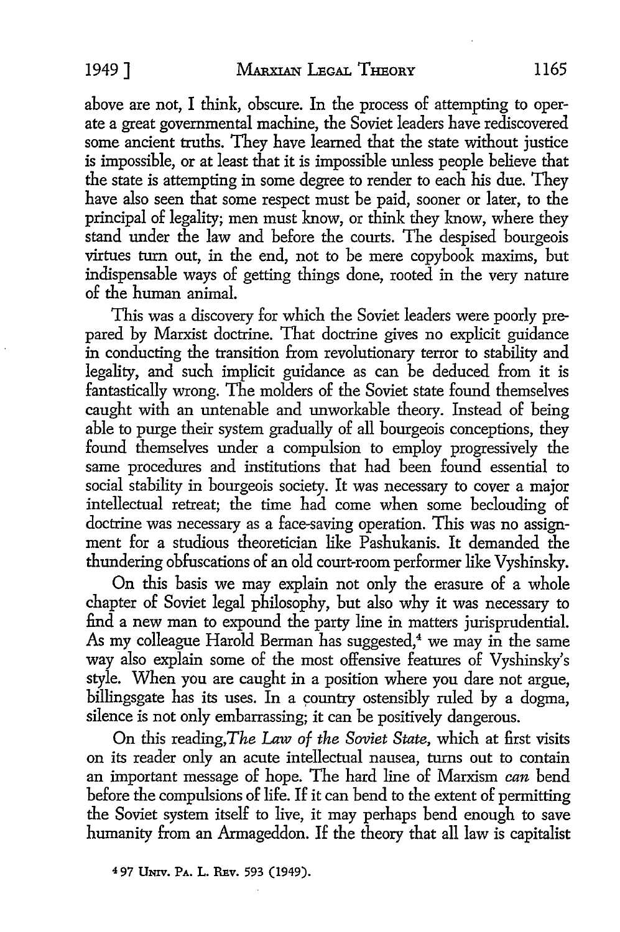above are not, I think, obscure. In the process of attempting to operate a great governmental machine, the Soviet leaders have rediscovered some ancient truths. They have learned that the state without justice is impossible, or at least that it is impossible unless people believe that the state is attempting in some degree to render to each his due. They have also seen that some respect must be paid, sooner or later, to the principal of legality; men must know, or think they know, where they stand under the law and before the courts. The despised bourgeois virtues turn out, in the end, not to be mere copybook maxims, but indispensable ways of getting things done, rooted in the very nature of the human animal.

This was a discovery for which the Soviet leaders were poorly prepared by Marxist doctrine. That doctrine gives no explicit guidance in conducting the transition from revolutionary terror to stability and legality, and such implicit guidance as can be deduced from it is fantastically wrong. The molders of the Soviet state found themselves caught with an untenable and unworkable theory. Instead of being able to purge their system gradually of all bourgeois conceptions, they found themselves under a compulsion to employ progressively the same procedures and institutions that had been found essential to social stability in bourgeois society. It was necessary to cover a major intellectual retreat; the time had come when some beclouding of doctrine was necessary as a face-saving operation. This was no assignment for a studious theoretician like Pashukanis. It demanded the thundering obfuscations of an old court-room performer like Vyshinsky.

On this basis we may explain not only the erasure of a whole chapter of Soviet legal philosophy, but also why it was necessary to find a new man to expound the party line in matters jurisprudential. As my colleague Harold Berman has suggested,<sup>4</sup> we may in the same way also explain some of the most offensive features of Vyshinsky's style. When you are caught in a position where you dare not argue, billingsgate has its uses. In a country ostensibly ruled by a dogma, silence is not only embarrassing; it can be positively dangerous.

On this reading,The Law *of the Soviet State,* which at first visits on its reader only an acute intellectual nausea, turns out to contain an important message of hope. The hard line of Marxism *can* bend before the compulsions of life. If it can bend to the extent of permitting the Soviet system itself to live, it may perhaps bend enough to save humanity from an Armageddon. If the theory that all law is capitalist